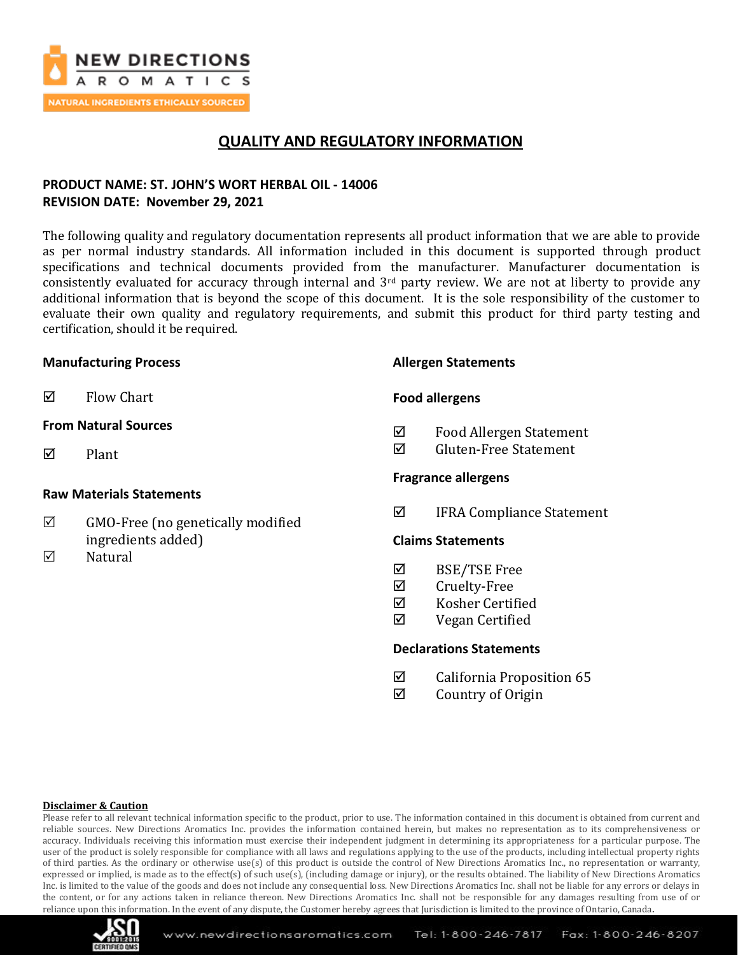

## **QUALITY AND REGULATORY INFORMATION**

## **PRODUCT NAME: ST. JOHN'S WORT HERBAL OIL - 14006 REVISION DATE: November 29, 2021**

The following quality and regulatory documentation represents all product information that we are able to provide as per normal industry standards. All information included in this document is supported through product specifications and technical documents provided from the manufacturer. Manufacturer documentation is consistently evaluated for accuracy through internal and  $3<sup>rd</sup>$  party review. We are not at liberty to provide any additional information that is beyond the scope of this document. It is the sole responsibility of the customer to evaluate their own quality and regulatory requirements, and submit this product for third party testing and certification, should it be required.

### **Manufacturing Process**

 $\boxtimes$  Flow Chart

### **From Natural Sources**

 $\nabla$  Plant

### **Raw Materials Statements**

- $\boxtimes$  GMO-Free (no genetically modified ingredients added)
- $\nabla$  Natural

### **Allergen Statements**

### **Food allergens**

- Food Allergen Statement
- $\overline{M}$  Gluten-Free Statement

### **Fragrance allergens**

IFRA Compliance Statement

### **Claims Statements**

- $\boxtimes$  BSE/TSE Free
- **Ø** Cruelty-Free
- Kosher Certified
- $\boxtimes$  Vegan Certified

### **Declarations Statements**

- $\boxtimes$  California Proposition 65
- $\boxtimes$  Country of Origin

#### **Disclaimer & Caution**

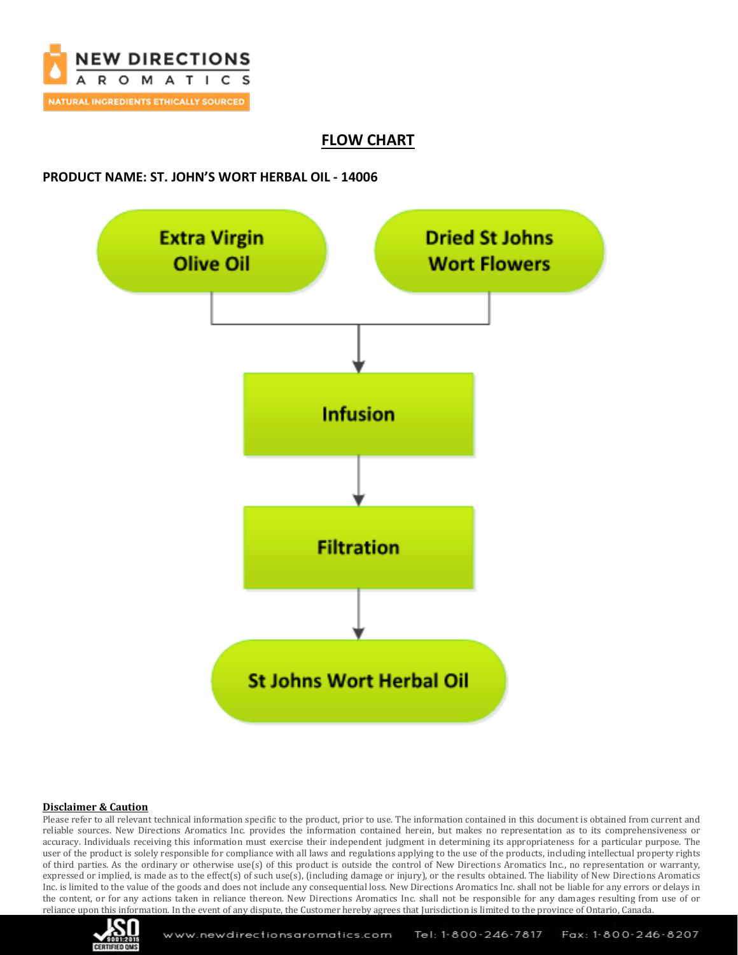

## **FLOW CHART**

### **PRODUCT NAME: ST. JOHN'S WORT HERBAL OIL - 14006**



#### **Disclaimer & Caution**

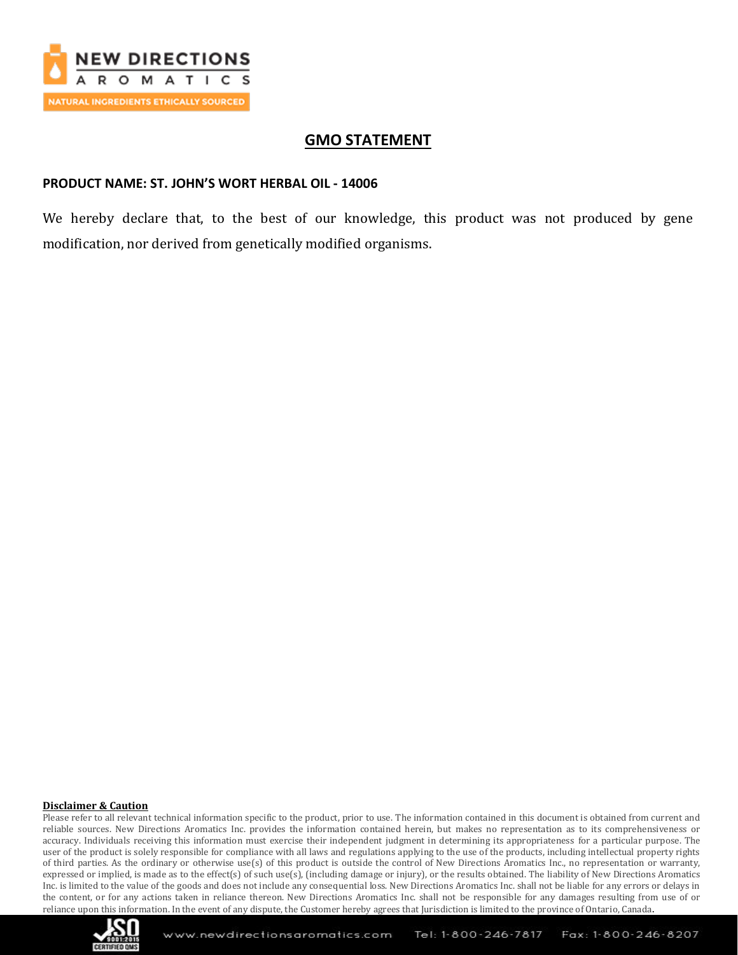

## **GMO STATEMENT**

### **PRODUCT NAME: ST. JOHN'S WORT HERBAL OIL - 14006**

We hereby declare that, to the best of our knowledge, this product was not produced by gene modification, nor derived from genetically modified organisms.

#### **Disclaimer & Caution**

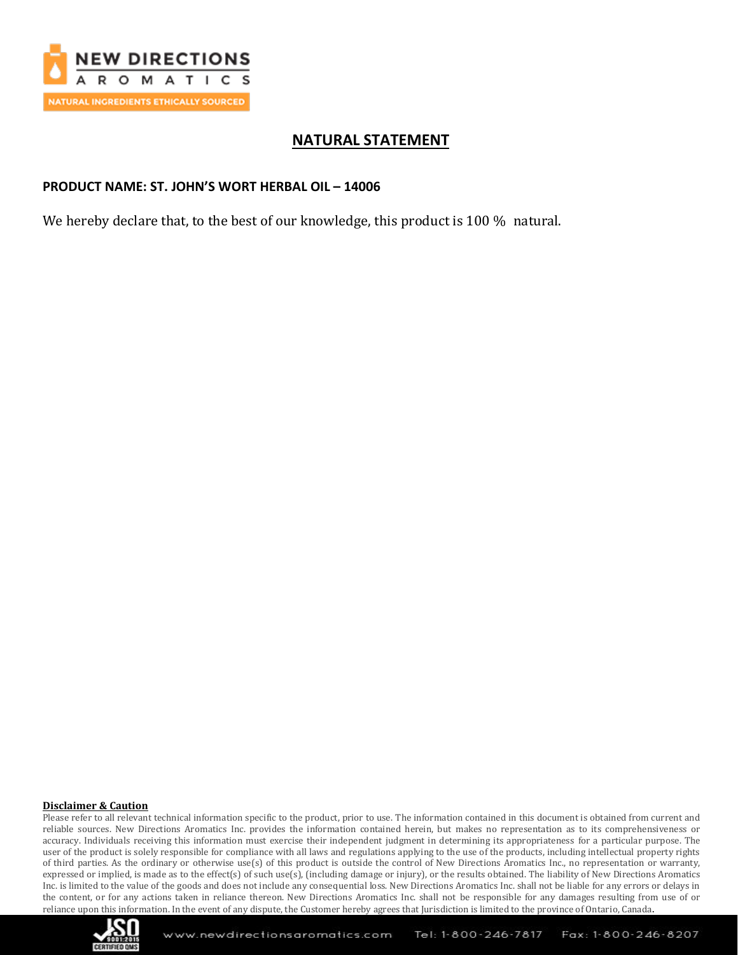

## **NATURAL STATEMENT**

### **PRODUCT NAME: ST. JOHN'S WORT HERBAL OIL – 14006**

We hereby declare that, to the best of our knowledge, this product is 100 % natural.

#### **Disclaimer & Caution**

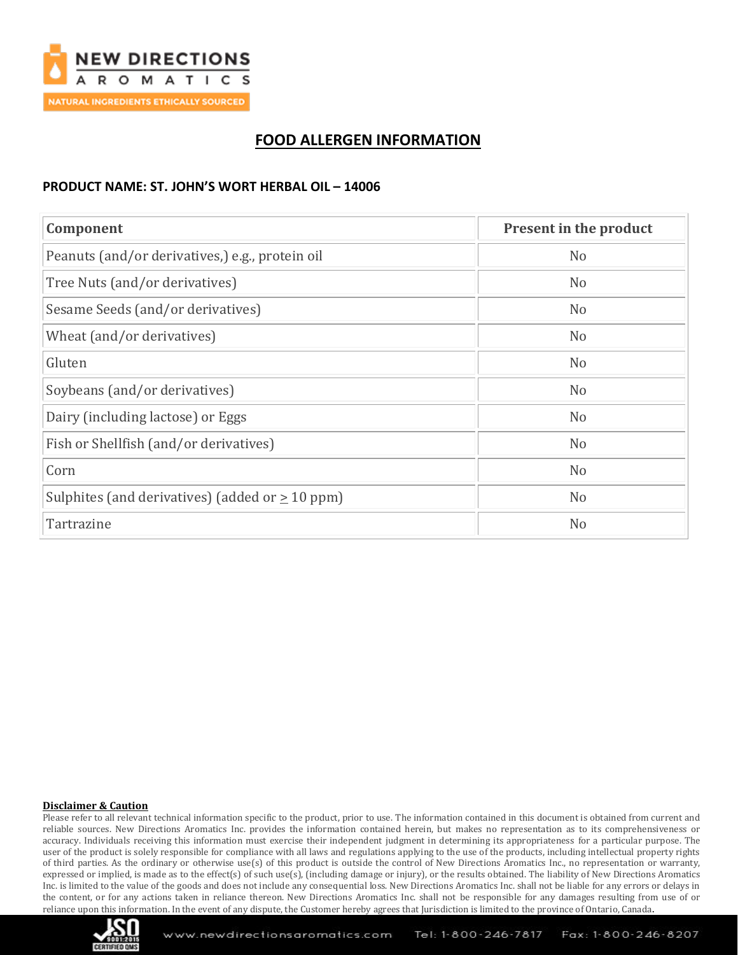

## **FOOD ALLERGEN INFORMATION**

## **PRODUCT NAME: ST. JOHN'S WORT HERBAL OIL – 14006**

| Component                                            | <b>Present in the product</b> |
|------------------------------------------------------|-------------------------------|
| Peanuts (and/or derivatives,) e.g., protein oil      | N <sub>o</sub>                |
| Tree Nuts (and/or derivatives)                       | N <sub>o</sub>                |
| Sesame Seeds (and/or derivatives)                    | N <sub>o</sub>                |
| Wheat (and/or derivatives)                           | N <sub>o</sub>                |
| Gluten                                               | N <sub>o</sub>                |
| Soybeans (and/or derivatives)                        | N <sub>o</sub>                |
| Dairy (including lactose) or Eggs                    | N <sub>o</sub>                |
| Fish or Shellfish (and/or derivatives)               | N <sub>o</sub>                |
| Corn                                                 | N <sub>o</sub>                |
| Sulphites (and derivatives) (added or $\geq 10$ ppm) | N <sub>o</sub>                |
| Tartrazine                                           | N <sub>o</sub>                |

#### **Disclaimer & Caution**

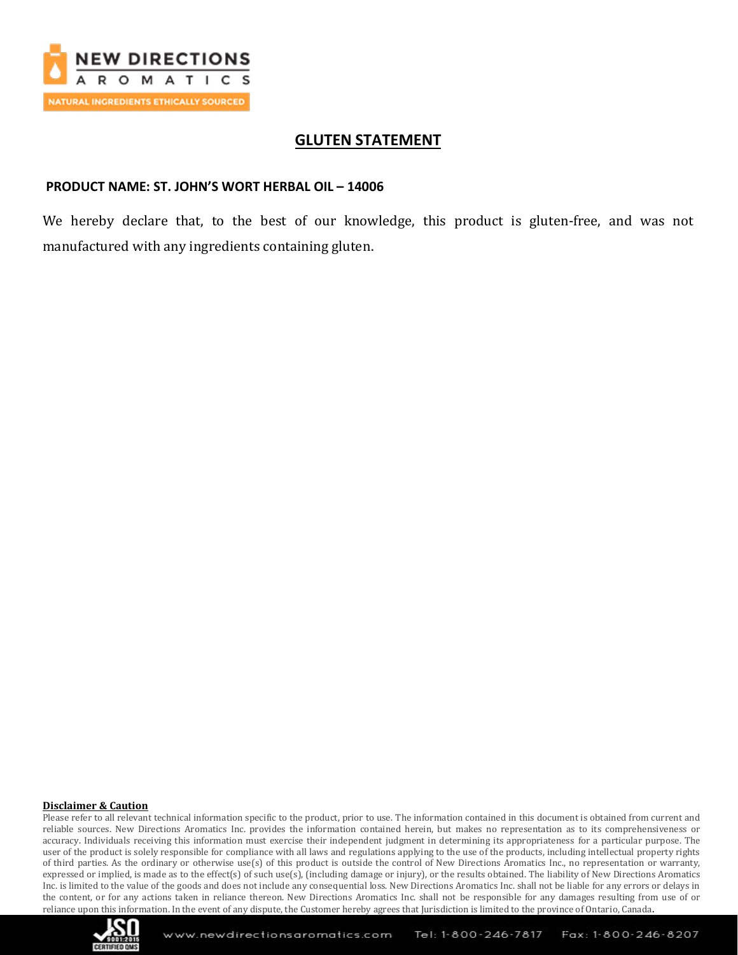

## **GLUTEN STATEMENT**

### **PRODUCT NAME: ST. JOHN'S WORT HERBAL OIL – 14006**

We hereby declare that, to the best of our knowledge, this product is gluten-free, and was not manufactured with any ingredients containing gluten.

#### **Disclaimer & Caution**

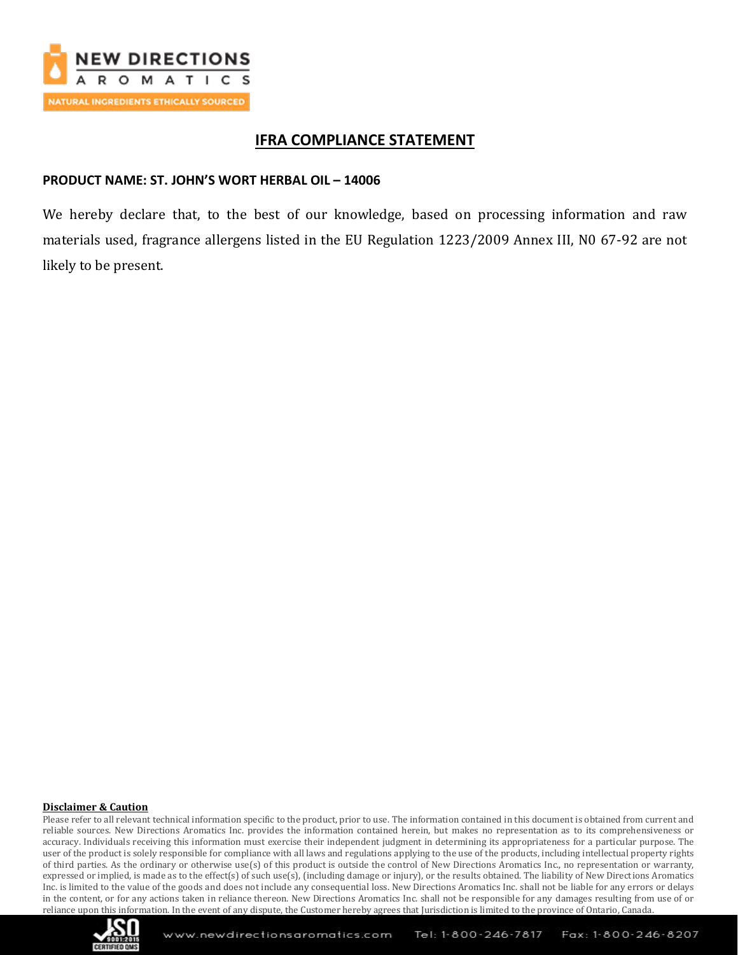

## **IFRA COMPLIANCE STATEMENT**

## **PRODUCT NAME: ST. JOHN'S WORT HERBAL OIL – 14006**

We hereby declare that, to the best of our knowledge, based on processing information and raw materials used, fragrance allergens listed in the EU Regulation 1223/2009 Annex III, N0 67-92 are not likely to be present.

#### **Disclaimer & Caution**

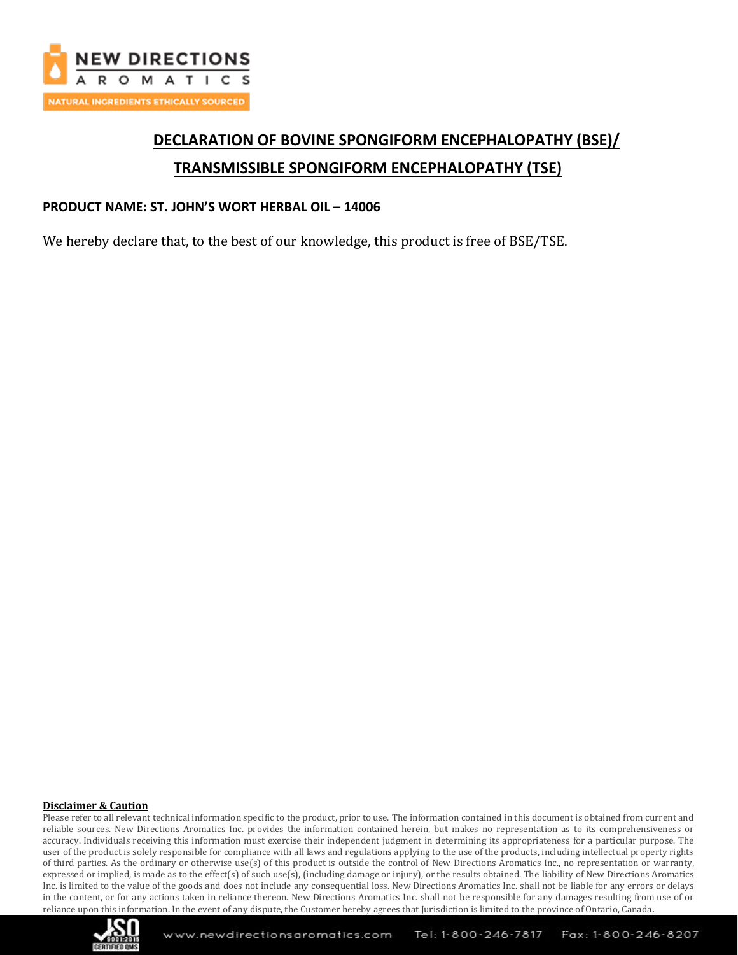

# **DECLARATION OF BOVINE SPONGIFORM ENCEPHALOPATHY (BSE)/ TRANSMISSIBLE SPONGIFORM ENCEPHALOPATHY (TSE)**

## **PRODUCT NAME: ST. JOHN'S WORT HERBAL OIL – 14006**

We hereby declare that, to the best of our knowledge, this product is free of BSE/TSE.

#### **Disclaimer & Caution**

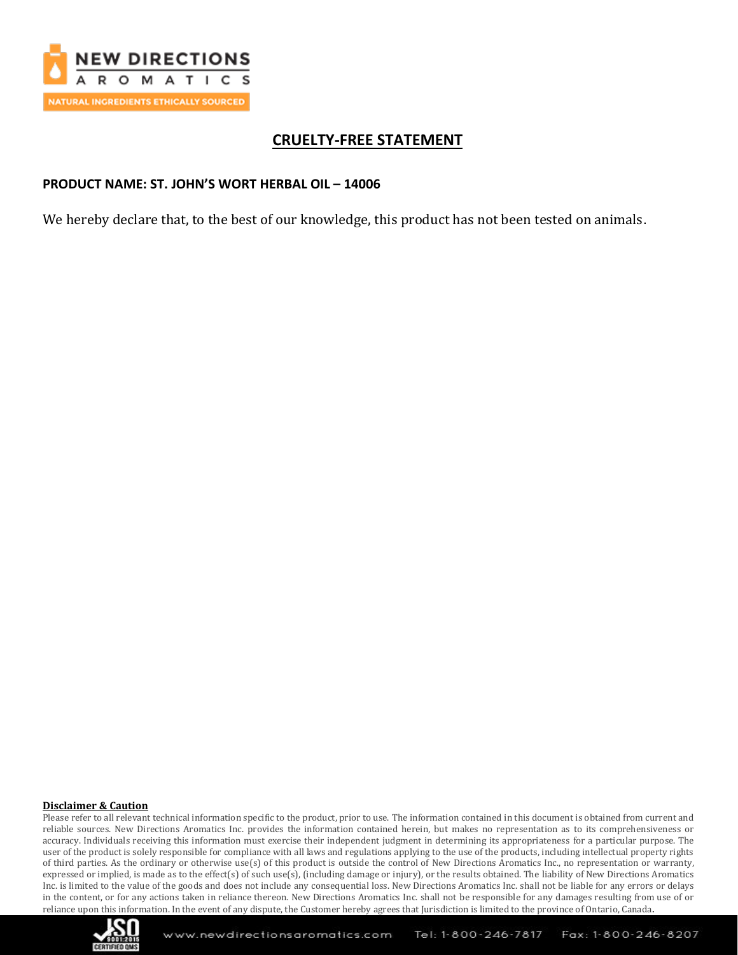

## **CRUELTY-FREE STATEMENT**

### **PRODUCT NAME: ST. JOHN'S WORT HERBAL OIL – 14006**

We hereby declare that, to the best of our knowledge, this product has not been tested on animals.

#### **Disclaimer & Caution**

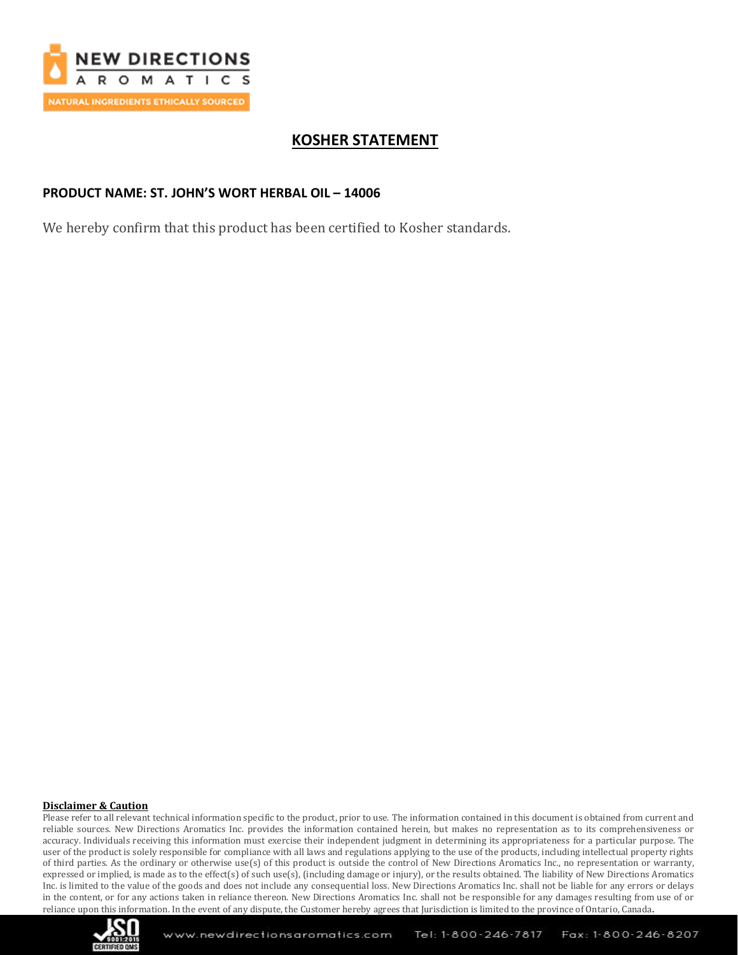

## **KOSHER STATEMENT**

### **PRODUCT NAME: ST. JOHN'S WORT HERBAL OIL – 14006**

We hereby confirm that this product has been certified to Kosher standards.

#### **Disclaimer & Caution**

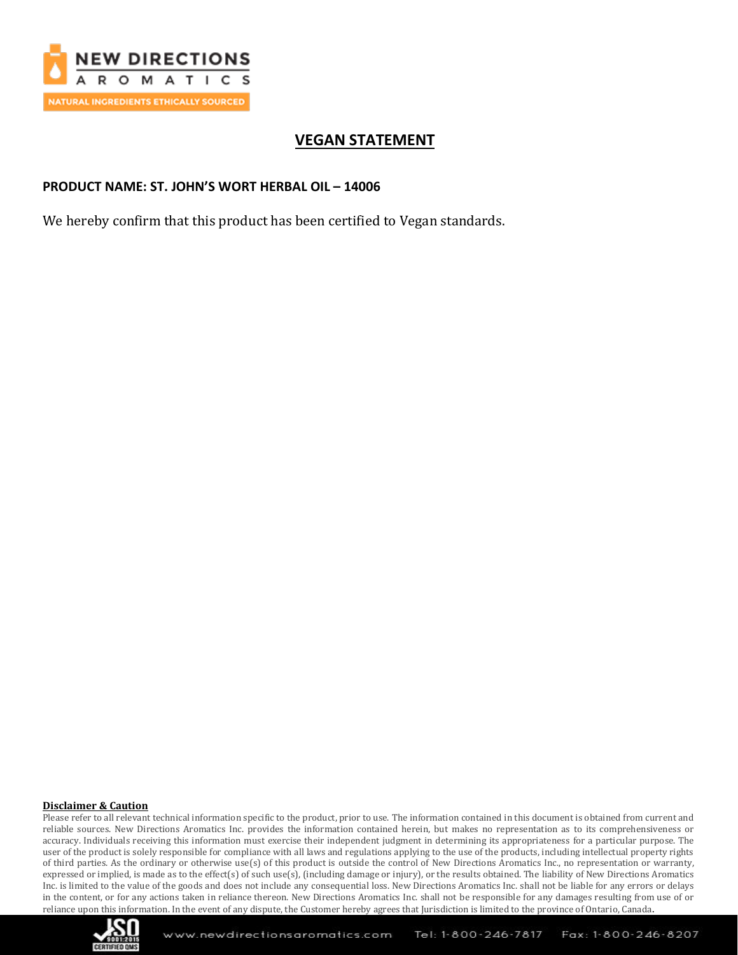

## **VEGAN STATEMENT**

## **PRODUCT NAME: ST. JOHN'S WORT HERBAL OIL – 14006**

We hereby confirm that this product has been certified to Vegan standards.

#### **Disclaimer & Caution**

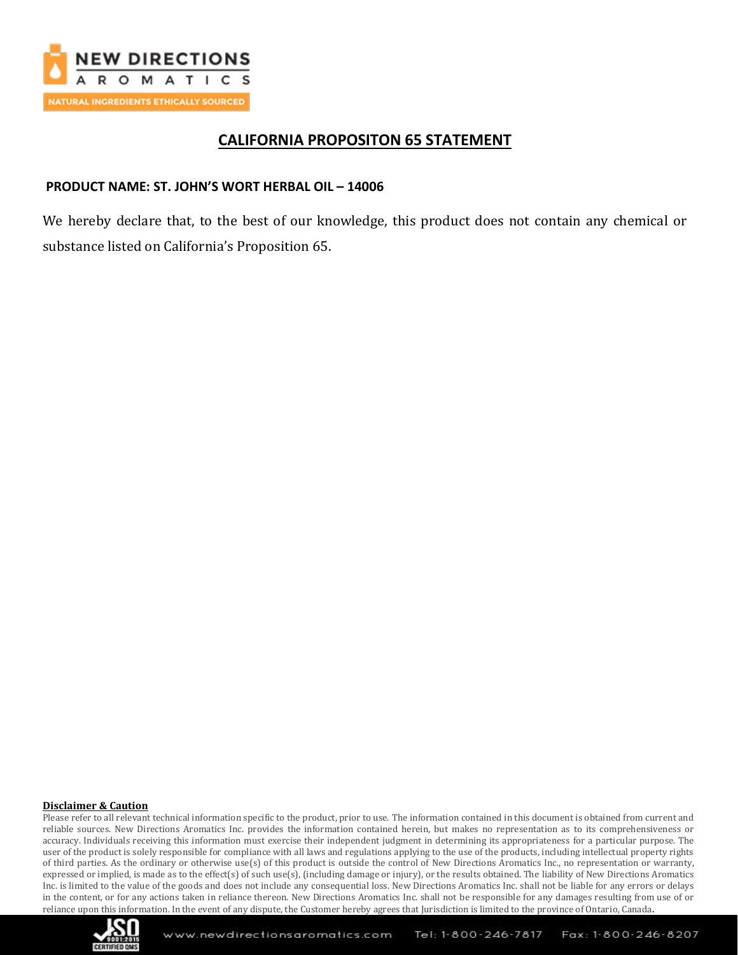

## **CALIFORNIA PROPOSITON 65 STATEMENT**

## **PRODUCT NAME: ST. JOHN'S WORT HERBAL OIL – 14006**

We hereby declare that, to the best of our knowledge, this product does not contain any chemical or substance listed on California's Proposition 65.

#### **Disclaimer & Caution**